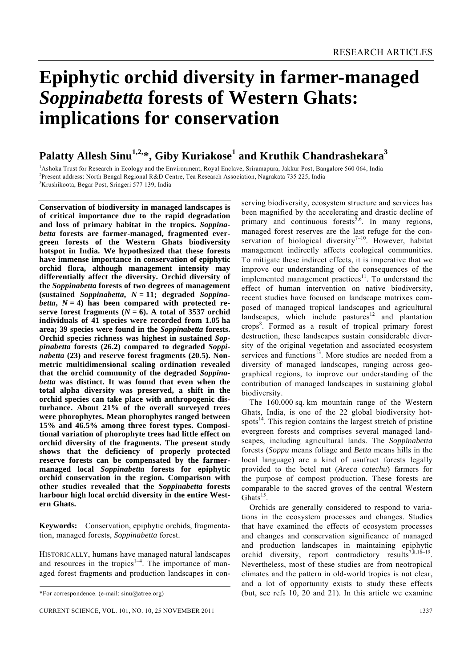# **Epiphytic orchid diversity in farmer-managed**  *Soppinabetta* **forests of Western Ghats: implications for conservation**

# **Palatty Allesh Sinu1,2,\*, Giby Kuriakose1 and Kruthik Chandrashekara<sup>3</sup>**

<sup>1</sup>Ashoka Trust for Research in Ecology and the Environment, Royal Enclave, Sriramapura, Jakkur Post, Bangalore 560 064, India <sup>2</sup><br><sup>2</sup>Present oddress: Nerth Bangal Resignal R.<sup>6</sup>:D Contre. Tea Research Association, Negrali <sup>2</sup> Present address: North Bengal Regional R&D Centre, Tea Research Association, Nagrakata 735 225, India <sup>3</sup>Krushikoota, Begar Post, Sringeri 577 139, India

**Conservation of biodiversity in managed landscapes is of critical importance due to the rapid degradation and loss of primary habitat in the tropics.** *Soppinabetta* **forests are farmer-managed, fragmented evergreen forests of the Western Ghats biodiversity hotspot in India. We hypothesized that these forests have immense importance in conservation of epiphytic orchid flora, although management intensity may differentially affect the diversity. Orchid diversity of the** *Soppinabetta* **forests of two degrees of management (sustained** *Soppinabetta***,** *N* **= 11; degraded** *Soppinabetta*,  $N = 4$ ) has been compared with protected reserve forest fragments  $(N = 6)$ . A total of 3537 orchid **individuals of 41 species were recorded from 1.05 ha area; 39 species were found in the** *Soppinabetta* **forests. Orchid species richness was highest in sustained** *Soppinabetta* **forests (26.2) compared to degraded** *Soppinabetta* **(23) and reserve forest fragments (20.5). Nonmetric multidimensional scaling ordination revealed that the orchid community of the degraded** *Soppinabetta* **was distinct. It was found that even when the total alpha diversity was preserved, a shift in the orchid species can take place with anthropogenic disturbance. About 21% of the overall surveyed trees were phorophytes. Mean phorophytes ranged between 15% and 46.5% among three forest types. Compositional variation of phorophyte trees had little effect on orchid diversity of the fragments. The present study shows that the deficiency of properly protected reserve forests can be compensated by the farmermanaged local** *Soppinabetta* **forests for epiphytic orchid conservation in the region. Comparison with other studies revealed that the** *Soppinabetta* **forests harbour high local orchid diversity in the entire Western Ghats.** 

**Keywords:** Conservation, epiphytic orchids, fragmentation, managed forests, *Soppinabetta* forest.

HISTORICALLY, humans have managed natural landscapes and resources in the tropics<sup> $1-4$ </sup>. The importance of managed forest fragments and production landscapes in conserving biodiversity, ecosystem structure and services has been magnified by the accelerating and drastic decline of primary and continuous forests<sup> $\bar{5}, 6$ </sup>. In many regions, managed forest reserves are the last refuge for the conservation of biological diversity<sup>7-10</sup>. However, habitat management indirectly affects ecological communities. To mitigate these indirect effects, it is imperative that we improve our understanding of the consequences of the implemented management practices $11$ . To understand the effect of human intervention on native biodiversity, recent studies have focused on landscape matrixes composed of managed tropical landscapes and agricultural landscapes, which include pastures<sup>12</sup> and plantation crops<sup>8</sup>. Formed as a result of tropical primary forest destruction, these landscapes sustain considerable diversity of the original vegetation and associated ecosystem services and functions $^{13}$ . More studies are needed from a diversity of managed landscapes, ranging across geographical regions, to improve our understanding of the contribution of managed landscapes in sustaining global biodiversity.

 The 160,000 sq. km mountain range of the Western Ghats, India, is one of the 22 global biodiversity hotspots $^{14}$ . This region contains the largest stretch of pristine evergreen forests and comprises several managed landscapes, including agricultural lands. The *Soppinabetta* forests (*Soppu* means foliage and *Betta* means hills in the local language) are a kind of usufruct forests legally provided to the betel nut (*Areca catechu*) farmers for the purpose of compost production. These forests are comparable to the sacred groves of the central Western Ghats $15$ .

 Orchids are generally considered to respond to variations in the ecosystem processes and changes. Studies that have examined the effects of ecosystem processes and changes and conservation significance of managed and production landscapes in maintaining epiphytic orchid diversity, report contradictory results<sup>7,8,16–19</sup>. Nevertheless, most of these studies are from neotropical climates and the pattern in old-world tropics is not clear, and a lot of opportunity exists to study these effects (but, see refs 10, 20 and 21). In this article we examine

<sup>\*</sup>For correspondence. (e-mail: sinu@atree.org)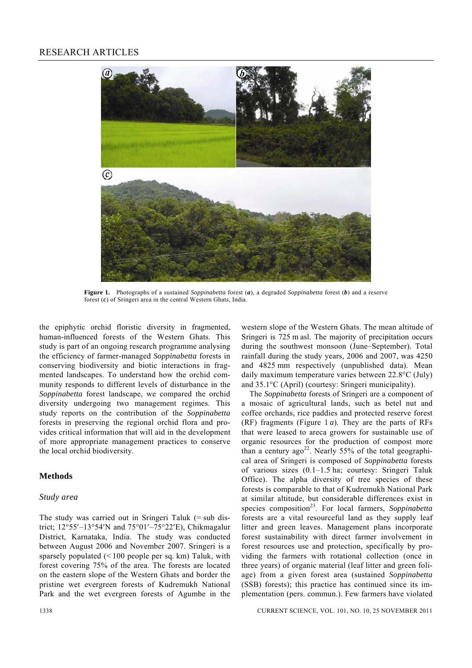

**Figure 1.** Photographs of a sustained *Soppinabetta* forest (*a*), a degraded *Soppinabetta* forest (*b*) and a reserve forest (*c*) of Sringeri area in the central Western Ghats, India.

the epiphytic orchid floristic diversity in fragmented, human-influenced forests of the Western Ghats. This study is part of an ongoing research programme analysing the efficiency of farmer-managed *Soppinabetta* forests in conserving biodiversity and biotic interactions in fragmented landscapes. To understand how the orchid community responds to different levels of disturbance in the *Soppinabetta* forest landscape, we compared the orchid diversity undergoing two management regimes. This study reports on the contribution of the *Soppinabetta* forests in preserving the regional orchid flora and provides critical information that will aid in the development of more appropriate management practices to conserve the local orchid biodiversity.

#### **Methods**

#### *Study area*

The study was carried out in Sringeri Taluk  $(=$  sub district; 12°55′–13°54′N and 75°01′–75°22′E), Chikmagalur District, Karnataka, India. The study was conducted between August 2006 and November 2007. Sringeri is a sparsely populated  $($  < 100 people per sq. km) Taluk, with forest covering 75% of the area. The forests are located on the eastern slope of the Western Ghats and border the pristine wet evergreen forests of Kudremukh National Park and the wet evergreen forests of Agumbe in the western slope of the Western Ghats. The mean altitude of Sringeri is 725 m asl. The majority of precipitation occurs during the southwest monsoon (June–September). Total rainfall during the study years, 2006 and 2007, was 4250 and 4825 mm respectively (unpublished data). Mean daily maximum temperature varies between 22.8°C (July) and 35.1°C (April) (courtesy: Sringeri municipality).

 The *Soppinabetta* forests of Sringeri are a component of a mosaic of agricultural lands, such as betel nut and coffee orchards, rice paddies and protected reserve forest (RF) fragments (Figure 1 *a*). They are the parts of RFs that were leased to areca growers for sustainable use of organic resources for the production of compost more than a century  $ago^{22}$ . Nearly 55% of the total geographical area of Sringeri is composed of *Soppinabetta* forests of various sizes (0.1–1.5 ha; courtesy: Sringeri Taluk Office). The alpha diversity of tree species of these forests is comparable to that of Kudremukh National Park at similar altitude, but considerable differences exist in species composition<sup>23</sup>. For local farmers, *Soppinabetta* forests are a vital resourceful land as they supply leaf litter and green leaves. Management plans incorporate forest sustainability with direct farmer involvement in forest resources use and protection, specifically by providing the farmers with rotational collection (once in three years) of organic material (leaf litter and green foliage) from a given forest area (sustained *Soppinabetta* (SSB) forests); this practice has continued since its implementation (pers. commun.). Few farmers have violated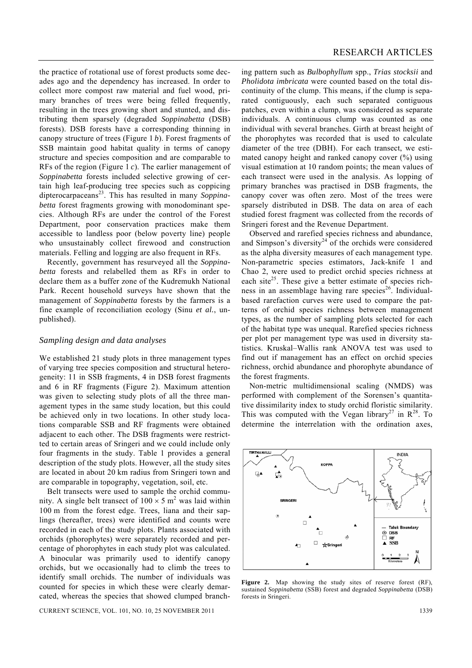the practice of rotational use of forest products some decades ago and the dependency has increased. In order to collect more compost raw material and fuel wood, primary branches of trees were being felled frequently, resulting in the trees growing short and stunted, and distributing them sparsely (degraded *Soppinabetta* (DSB) forests). DSB forests have a corresponding thinning in canopy structure of trees (Figure 1 *b*). Forest fragments of SSB maintain good habitat quality in terms of canopy structure and species composition and are comparable to RFs of the region (Figure 1 *c*). The earlier management of *Soppinabetta* forests included selective growing of certain high leaf-producing tree species such as coppicing dipterocarpaceans23. This has resulted in many *Soppinabetta* forest fragments growing with monodominant species. Although RFs are under the control of the Forest Department, poor conservation practices make them accessible to landless poor (below poverty line) people who unsustainably collect firewood and construction materials. Felling and logging are also frequent in RFs.

 Recently, government has resurveyed all the *Soppinabetta* forests and relabelled them as RFs in order to declare them as a buffer zone of the Kudremukh National Park. Recent household surveys have shown that the management of *Soppinabetta* forests by the farmers is a fine example of reconciliation ecology (Sinu *et al.*, unpublished).

#### *Sampling design and data analyses*

We established 21 study plots in three management types of varying tree species composition and structural heterogeneity: 11 in SSB fragments, 4 in DSB forest fragments and 6 in RF fragments (Figure 2). Maximum attention was given to selecting study plots of all the three management types in the same study location, but this could be achieved only in two locations. In other study locations comparable SSB and RF fragments were obtained adjacent to each other. The DSB fragments were restrictted to certain areas of Sringeri and we could include only four fragments in the study. Table 1 provides a general description of the study plots. However, all the study sites are located in about 20 km radius from Sringeri town and are comparable in topography, vegetation, soil, etc.

 Belt transects were used to sample the orchid community. A single belt transect of  $100 \times 5$  m<sup>2</sup> was laid within 100 m from the forest edge. Trees, liana and their saplings (hereafter, trees) were identified and counts were recorded in each of the study plots. Plants associated with orchids (phorophytes) were separately recorded and percentage of phorophytes in each study plot was calculated. A binocular was primarily used to identify canopy orchids, but we occasionally had to climb the trees to identify small orchids. The number of individuals was counted for species in which these were clearly demarcated, whereas the species that showed clumped branch-

CURRENT SCIENCE, VOL. 101, NO. 10, 25 NOVEMBER 2011 1339

ing pattern such as *Bulbophyllum* spp., *Trias stocksii* and *Pholidota imbricata* were counted based on the total discontinuity of the clump. This means, if the clump is separated contiguously, each such separated contiguous patches, even within a clump, was considered as separate individuals. A continuous clump was counted as one individual with several branches. Girth at breast height of the phorophytes was recorded that is used to calculate diameter of the tree (DBH). For each transect, we estimated canopy height and ranked canopy cover (%) using visual estimation at 10 random points; the mean values of each transect were used in the analysis. As lopping of primary branches was practised in DSB fragments, the canopy cover was often zero. Most of the trees were sparsely distributed in DSB. The data on area of each studied forest fragment was collected from the records of Sringeri forest and the Revenue Department.

 Observed and rarefied species richness and abundance, and Simpson's diversity<sup>24</sup> of the orchids were considered as the alpha diversity measures of each management type. Non-parametric species estimators, Jack-knife 1 and Chao 2, were used to predict orchid species richness at each site<sup>25</sup>. These give a better estimate of species richness in an assemblage having rare species<sup>26</sup>. Individualbased rarefaction curves were used to compare the patterns of orchid species richness between management types, as the number of sampling plots selected for each of the habitat type was unequal. Rarefied species richness per plot per management type was used in diversity statistics. Kruskal–Wallis rank ANOVA test was used to find out if management has an effect on orchid species richness, orchid abundance and phorophyte abundance of the forest fragments.

 Non-metric multidimensional scaling (NMDS) was performed with complement of the Sorensen's quantitative dissimilarity index to study orchid floristic similarity. This was computed with the Vegan library<sup>27</sup> in  $R^{28}$ . To determine the interrelation with the ordination axes,



**Figure 2.** Map showing the study sites of reserve forest (RF), sustained *Soppinabetta* (SSB) forest and degraded *Soppinabetta* (DSB) forests in Sringeri.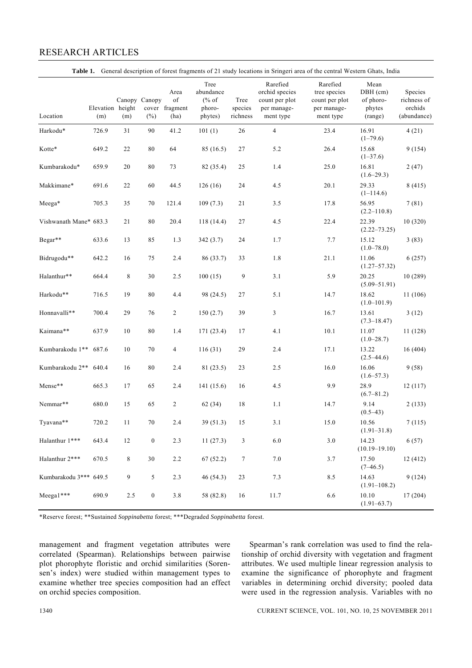# RESEARCH ARTICLES

| Location               | Elevation height<br>(m) | (m)     | Canopy Canopy<br>$(\% )$ | Area<br>of<br>cover fragment<br>(ha) | Tree<br>abundance<br>$(\%$ of<br>phoro-<br>phytes) | Tree<br>species<br>richness | Rarefied<br>orchid species<br>count per plot<br>per manage-<br>ment type | Rarefied<br>tree species<br>count per plot<br>per manage-<br>ment type | Mean<br>DBH (cm)<br>of phoro-<br>phytes<br>(range) | Species<br>richness of<br>orchids<br>(abundance) |
|------------------------|-------------------------|---------|--------------------------|--------------------------------------|----------------------------------------------------|-----------------------------|--------------------------------------------------------------------------|------------------------------------------------------------------------|----------------------------------------------------|--------------------------------------------------|
| Harkodu*               | 726.9                   | 31      | 90                       | 41.2                                 | 101(1)                                             | 26                          | $\overline{4}$                                                           | 23.4                                                                   | 16.91<br>$(1-79.6)$                                | 4(21)                                            |
| Kotte*                 | 649.2                   | $22\,$  | $\bf 80$                 | 64                                   | 85 (16.5)                                          | 27                          | 5.2                                                                      | 26.4                                                                   | 15.68<br>$(1-37.6)$                                | 9(154)                                           |
| Kumbarakodu*           | 659.9                   | $20\,$  | $\bf 80$                 | 73                                   | 82 (35.4)                                          | 25                          | 1.4                                                                      | 25.0                                                                   | 16.81<br>$(1.6-29.3)$                              | 2(47)                                            |
| Makkimane*             | 691.6                   | 22      | 60                       | 44.5                                 | 126(16)                                            | 24                          | 4.5                                                                      | 20.1                                                                   | 29.33<br>$(1-114.6)$                               | 8(415)                                           |
| Meega*                 | 705.3                   | 35      | 70                       | 121.4                                | 109(7.3)                                           | 21                          | $3.5$                                                                    | 17.8                                                                   | 56.95<br>$(2.2 - 110.8)$                           | 7(81)                                            |
| Vishwanath Mane* 683.3 |                         | 21      | $\bf 80$                 | 20.4                                 | 118 (14.4)                                         | 27                          | 4.5                                                                      | 22.4                                                                   | 22.39<br>$(2.22 - 73.25)$                          | 10(320)                                          |
| Begar**                | 633.6                   | 13      | 85                       | 1.3                                  | 342(3.7)                                           | 24                          | 1.7                                                                      | 7.7                                                                    | 15.12<br>$(1.0 - 78.0)$                            | 3(83)                                            |
| Bidrugodu**            | 642.2                   | 16      | 75                       | 2.4                                  | 86 (33.7)                                          | 33                          | 1.8                                                                      | 21.1                                                                   | 11.06<br>$(1.27 - 57.32)$                          | 6(257)                                           |
| Halanthur**            | 664.4                   | $\,8\,$ | 30                       | 2.5                                  | 100(15)                                            | 9                           | 3.1                                                                      | 5.9                                                                    | 20.25<br>$(5.09 - 51.91)$                          | 10(289)                                          |
| Harkodu**              | 716.5                   | 19      | 80                       | 4.4                                  | 98 (24.5)                                          | 27                          | 5.1                                                                      | 14.7                                                                   | 18.62<br>$(1.0 - 101.9)$                           | 11 (106)                                         |
| Honnavalli**           | 700.4                   | 29      | 76                       | $\overline{c}$                       | 150(2.7)                                           | 39                          | 3                                                                        | 16.7                                                                   | 13.61<br>$(7.3 - 18.47)$                           | 3(12)                                            |
| Kaimana**              | 637.9                   | 10      | $\bf 80$                 | 1.4                                  | 171(23.4)                                          | 17                          | 4.1                                                                      | 10.1                                                                   | 11.07<br>$(1.0 - 28.7)$                            | 11(128)                                          |
| Kumbarakodu 1** 687.6  |                         | 10      | 70                       | $\overline{4}$                       | 116(31)                                            | 29                          | 2.4                                                                      | 17.1                                                                   | 13.22<br>$(2.5 - 44.6)$                            | 16(404)                                          |
| Kumbarakodu 2**        | 640.4                   | 16      | 80                       | 2.4                                  | 81 (23.5)                                          | 23                          | 2.5                                                                      | 16.0                                                                   | 16.06<br>$(1.6 - 57.3)$                            | 9(58)                                            |
| Mense**                | 665.3                   | 17      | 65                       | 2.4                                  | 141 (15.6)                                         | 16                          | 4.5                                                                      | 9.9                                                                    | 28.9<br>$(6.7 - 81.2)$                             | 12(117)                                          |
| Nemmar**               | 680.0                   | 15      | 65                       | $\overline{c}$                       | 62(34)                                             | 18                          | 1.1                                                                      | 14.7                                                                   | 9.14<br>$(0.5-43)$                                 | 2(133)                                           |
| Tyavana**              | 720.2                   | 11      | 70                       | 2.4                                  | 39(51.3)                                           | 15                          | 3.1                                                                      | 15.0                                                                   | 10.56<br>$(1.91 - 31.8)$                           | 7(115)                                           |
| Halanthur 1***         | 643.4                   | $12\,$  | $\boldsymbol{0}$         | 2.3                                  | 11(27.3)                                           | 3                           | $6.0\,$                                                                  | $3.0\,$                                                                | 14.23<br>$(10.19 - 19.10)$                         | 6(57)                                            |
| Halanthur 2***         | 670.5                   | $\,8\,$ | 30                       | $2.2\,$                              | 67(52.2)                                           | $\tau$                      | $7.0\,$                                                                  | 3.7                                                                    | 17.50<br>$(7-46.5)$                                | 12 (412)                                         |
| Kumbarakodu 3*** 649.5 |                         | 9       | 5                        | 2.3                                  | 46(54.3)                                           | 23                          | 7.3                                                                      | $8.5\,$                                                                | 14.63<br>$(1.91 - 108.2)$                          | 9(124)                                           |
| $Meega1***$            | 690.9                   | 2.5     | $\boldsymbol{0}$         | $3.8\,$                              | 58 (82.8)                                          | $16\,$                      | 11.7                                                                     | 6.6                                                                    | 10.10<br>$(1.91 - 63.7)$                           | 17(204)                                          |

\*Reserve forest; \*\*Sustained *Soppinabetta* forest; \*\*\*Degraded *Soppinabetta* forest.

management and fragment vegetation attributes were correlated (Spearman). Relationships between pairwise plot phorophyte floristic and orchid similarities (Sorensen's index) were studied within management types to examine whether tree species composition had an effect on orchid species composition.

 Spearman's rank correlation was used to find the relationship of orchid diversity with vegetation and fragment attributes. We used multiple linear regression analysis to examine the significance of phorophyte and fragment variables in determining orchid diversity; pooled data were used in the regression analysis. Variables with no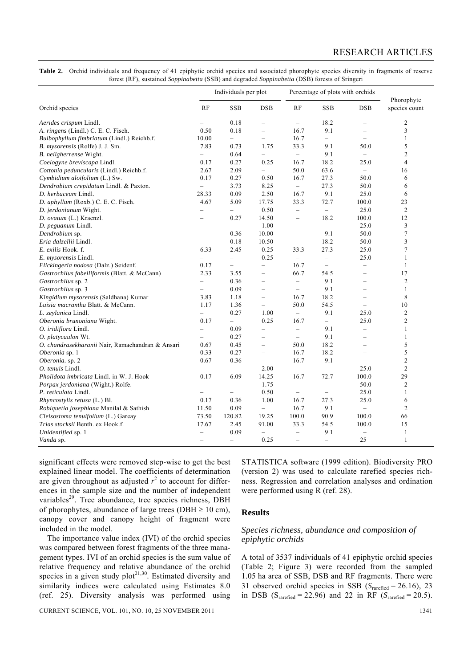| Table 2. Orchid individuals and frequency of 41 epiphytic orchid species and associated phorophyte species diversity in fragments of reserve |
|----------------------------------------------------------------------------------------------------------------------------------------------|
| forest (RF), sustained <i>Soppinabetta</i> (SSB) and degraded <i>Soppinabetta</i> (DSB) forests of Sringeri                                  |

| x x                                              |                          | Individuals per plot     |                          | Percentage of plots with orchids |                          |                          |                             |
|--------------------------------------------------|--------------------------|--------------------------|--------------------------|----------------------------------|--------------------------|--------------------------|-----------------------------|
| Orchid species                                   | RF                       | <b>SSB</b>               | <b>DSB</b>               | RF                               | <b>SSB</b>               | <b>DSB</b>               | Phorophyte<br>species count |
| Aerides crispum Lindl.                           | $\overline{\phantom{0}}$ | 0.18                     | $\qquad \qquad -$        | $\overline{\phantom{0}}$         | 18.2                     | $\qquad \qquad -$        | $\boldsymbol{2}$            |
| A. ringens (Lindl.) C. E. C. Fisch.              | 0.50                     | 0.18                     | $\overline{\phantom{0}}$ | 16.7                             | 9.1                      | $\overline{\phantom{0}}$ | 3                           |
| Bulbophyllum fimbriatum (Lindl.) Reichb.f.       | 10.00                    | $\overline{a}$           | $\overline{\phantom{0}}$ | 16.7                             | $\overline{\phantom{0}}$ | $\overline{\phantom{0}}$ | $\mathbf{1}$                |
| B. mysorensis (Rolfe) J. J. Sm.                  | 7.83                     | 0.73                     | 1.75                     | 33.3                             | 9.1                      | 50.0                     | 5                           |
| B. neilgherrense Wight.                          |                          | 0.64                     |                          | $\overline{\phantom{0}}$         | 9.1                      | $\overline{\phantom{m}}$ | $\overline{2}$              |
| Coelogyne breviscapa Lindl.                      | 0.17                     | 0.27                     | 0.25                     | 16.7                             | 18.2                     | 25.0                     | $\overline{4}$              |
| Cottonia peduncularis (Lindl.) Reichb.f.         | 2.67                     | 2.09                     | $\overline{\phantom{a}}$ | 50.0                             | 63.6                     | $\qquad \qquad -$        | 16                          |
| Cymbidium aloifolium (L.) Sw.                    | 0.17                     | 0.27                     | 0.50                     | 16.7                             | 27.3                     | 50.0                     | 6                           |
| Dendrobium crepidatum Lindl. & Paxton.           |                          | 3.73                     | 8.25                     | $\overline{\phantom{0}}$         | 27.3                     | 50.0                     | 6                           |
| D. herbaceum Lindl.                              | 28.33                    | 0.09                     | 2.50                     | 16.7                             | 9.1                      | 25.0                     | 6                           |
| D. aphyllum (Roxb.) C. E. C. Fisch.              | 4.67                     | 5.09                     | 17.75                    | 33.3                             | 72.7                     | 100.0                    | 23                          |
| D. jerdonianum Wight.                            | $\overline{\phantom{0}}$ | $\overline{\phantom{0}}$ | 0.50                     | $\overline{\phantom{0}}$         | $\overline{\phantom{0}}$ | 25.0                     | $\overline{2}$              |
| D. ovatum (L.) Kraenzl.                          | $\overline{ }$           | 0.27                     | 14.50                    | $\overline{\phantom{m}}$         | 18.2                     | 100.0                    | 12                          |
| D. peguanum Lindl.                               | L,                       |                          | 1.00                     | $\qquad \qquad -$                | $\overline{\phantom{0}}$ | 25.0                     | 3                           |
| Dendrobium sp.                                   | L                        | 0.36                     | 10.00                    | $\overline{\phantom{0}}$         | 9.1                      | 50.0                     | $\overline{7}$              |
| Eria dalzellii Lindl.                            |                          | 0.18                     | 10.50                    | $\overline{\phantom{m}}$         | 18.2                     | 50.0                     | 3                           |
| E. exilis Hook. f.                               | 6.33                     | 2.45                     | 0.25                     | 33.3                             | 27.3                     | 25.0                     | $\overline{7}$              |
| E. mysorensis Lindl.                             |                          | L.                       | 0.25                     | $\overline{\phantom{0}}$         | $\overline{\phantom{0}}$ | 25.0                     | $\mathbf{1}$                |
| Flickingeria nodosa (Dalz.) Seidenf.             | 0.17                     | $\overline{\phantom{0}}$ | $\qquad \qquad -$        | 16.7                             | $\qquad \qquad -$        | $\overline{\phantom{0}}$ | $\mathbf{1}$                |
| Gastrochilus fabelliformis (Blatt. & McCann)     | 2.33                     | 3.55                     | $\equiv$                 | 66.7                             | 54.5                     | $\equiv$                 | 17                          |
| Gastrochilus sp. 2                               | L,                       | 0.36                     | $\overline{\phantom{0}}$ | $\overline{\phantom{m}}$         | 9.1                      | $\overline{\phantom{0}}$ | $\overline{2}$              |
| Gastrochilus sp. 3                               | L.                       | 0.09                     | $\equiv$                 | $\equiv$                         | 9.1                      | L.                       | $\mathbf{1}$                |
| Kingidium mysorensis (Saldhana) Kumar            | 3.83                     | 1.18                     | $\qquad \qquad -$        | 16.7                             | 18.2                     | $\overline{\phantom{0}}$ | 8                           |
| Luisia macrantha Blatt. & McCann.                | 1.17                     | 1.36                     | $\qquad \qquad -$        | 50.0                             | 54.5                     | $\overline{\phantom{0}}$ | 10                          |
| L. zeylanica Lindl.                              | $\equiv$                 | 0.27                     | 1.00                     | $\equiv$                         | 9.1                      | 25.0                     | $\overline{2}$              |
| Oberonia brunoniana Wight.                       | 0.17                     | $\overline{\phantom{0}}$ | 0.25                     | 16.7                             | $\overline{\phantom{0}}$ | 25.0                     | $\overline{2}$              |
| O. iridiflora Lindl.                             | $\equiv$                 | 0.09                     | $\overline{\phantom{0}}$ | $\equiv$                         | 9.1                      | $\overline{\phantom{0}}$ | 1                           |
| O. platycaulon Wt.                               | $\overline{\phantom{0}}$ | 0.27                     | $\overline{\phantom{0}}$ | $\overline{\phantom{m}}$         | 9.1                      | $\overline{\phantom{0}}$ | 1                           |
| O. chandrasekharanii Nair, Ramachandran & Ansari | 0.67                     | 0.45                     | $\overline{\phantom{0}}$ | 50.0                             | 18.2                     | L,                       | 5                           |
| Oberonia sp. 1                                   | 0.33                     | 0.27                     | $\qquad \qquad -$        | 16.7                             | 18.2                     | $\overline{\phantom{0}}$ | 5                           |
| Oberonia. sp. 2                                  | 0.67                     | 0.36                     | $\overline{\phantom{0}}$ | 16.7                             | 9.1                      |                          | $\overline{2}$              |
| O. tenuis Lindl.                                 |                          | $\overline{\phantom{0}}$ | 2.00                     | $\overline{\phantom{a}}$         | $\overline{\phantom{0}}$ | 25.0                     | $\overline{2}$              |
| Pholidota imbricata Lindl. in W. J. Hook         | 0.17                     | 6.09                     | 14.25                    | 16.7                             | 72.7                     | 100.0                    | 29                          |
| Porpax jerdoniana (Wight.) Rolfe.                | $\overline{\phantom{0}}$ | $\qquad \qquad -$        | 1.75                     | $\overline{\phantom{a}}$         | $\qquad \qquad -$        | 50.0                     | $\overline{2}$              |
| P. reticulata Lindl.                             | <u>.</u>                 |                          | 0.50                     | $\overline{\phantom{m}}$         | $\equiv$                 | 25.0                     | $\mathbf{1}$                |
| Rhyncostylis retusa (L.) Bl.                     | 0.17                     | 0.36                     | 1.00                     | 16.7                             | 27.3                     | 25.0                     | 6                           |
| Robiquetia josephiana Manilal & Sathish          | 11.50                    | 0.09                     | $\equiv$                 | 16.7                             | 9.1                      | $\overline{\phantom{0}}$ | $\overline{2}$              |
| Cleisostoma tenuifolium (L.) Gareay              | 73.50                    | 120.82                   | 19.25                    | 100.0                            | 90.9                     | 100.0                    | 66                          |
| Trias stocksii Benth. ex Hook.f.                 | 17.67                    | 2.45                     | 91.00                    | 33.3                             | 54.5                     | 100.0                    | 15                          |
| Unidentified sp. 1                               | $\overline{\phantom{0}}$ | 0.09                     | $\overline{\phantom{a}}$ | $\qquad \qquad -$                | 9.1                      | $\overline{\phantom{0}}$ | $\mathbf{1}$                |
| Vanda sp.                                        | $\equiv$                 | $\equiv$                 | 0.25                     | $\overline{\phantom{m}}$         | $\equiv$                 | 25                       | $\mathbf{1}$                |

significant effects were removed step-wise to get the best explained linear model. The coefficients of determination are given throughout as adjusted  $r^2$  to account for differences in the sample size and the number of independent variables<sup>29</sup>. Tree abundance, tree species richness, DBH of phorophytes, abundance of large trees (DBH  $\geq 10$  cm), canopy cover and canopy height of fragment were included in the model.

 The importance value index (IVI) of the orchid species was compared between forest fragments of the three management types. IVI of an orchid species is the sum value of relative frequency and relative abundance of the orchid species in a given study  $plot^{21,30}$ . Estimated diversity and similarity indices were calculated using Estimates 8.0 (ref. 25). Diversity analysis was performed using

STATISTICA software (1999 edition). Biodiversity PRO (version 2) was used to calculate rarefied species richness. Regression and correlation analyses and ordination were performed using R (ref. 28).

#### **Results**

#### *Species richness, abundance and composition of epiphytic orchids*

A total of 3537 individuals of 41 epiphytic orchid species (Table 2; Figure 3) were recorded from the sampled 1.05 ha area of SSB, DSB and RF fragments. There were 31 observed orchid species in SSB (*S*rarefied = 26.16), 23 in DSB ( $S_{\text{rarefied}} = 22.96$ ) and 22 in RF ( $S_{\text{rarefied}} = 20.5$ ).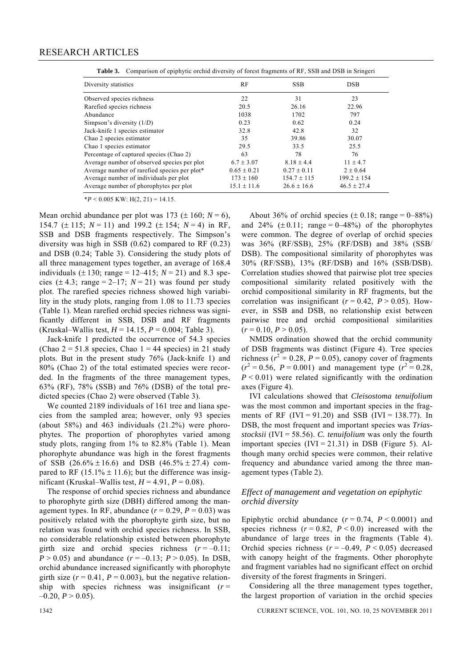| Diversity statistics                         | RF              | <b>SSB</b>      | <b>DSB</b>      |
|----------------------------------------------|-----------------|-----------------|-----------------|
| Observed species richness                    | 22              | 31              | 23              |
| Rarefied species richness                    | 20.5            | 26.16           | 22.96           |
| Abundance                                    | 1038            | 1702            | 797             |
| Simpson's diversity $(1/D)$                  | 0.23            | 0.62            | 0.24            |
| Jack-knife 1 species estimator               | 32.8            | 42.8            | 32              |
| Chao 2 species estimator                     | 35              | 39.86           | 30.07           |
| Chao 1 species estimator                     | 29.5            | 33.5            | 25.5            |
| Percentage of captured species (Chao 2)      | 63              | 78              | 76              |
| Average number of observed species per plot  | $6.7 \pm 3.07$  | $8.18 \pm 4.4$  | $11 \pm 4.7$    |
| Average number of rarefied species per plot* | $0.65 \pm 0.21$ | $0.27 \pm 0.11$ | $2 \pm 0.64$    |
| Average number of individuals per plot       | $173 \pm 160$   | $154.7 \pm 115$ | $199.2 \pm 154$ |
| Average number of phorophytes per plot       | $15.1 \pm 11.6$ | $26.6 \pm 16.6$ | $46.5 \pm 27.4$ |

**Table 3.** Comparison of epiphytic orchid diversity of forest fragments of RF, SSB and DSB in Sringeri

 $*P < 0.005$  KW: H(2, 21) = 14.15.

Mean orchid abundance per plot was 173 ( $\pm$  160; *N* = 6), 154.7 (± 115; *N* = 11) and 199.2 (± 154; *N* = 4) in RF, SSB and DSB fragments respectively. The Simpson's diversity was high in SSB  $(0.62)$  compared to RF  $(0.23)$ and DSB (0.24; Table 3). Considering the study plots of all three management types together, an average of 168.4 individuals ( $\pm 130$ ; range = 12–415;  $N = 21$ ) and 8.3 species  $(\pm 4.3; \text{ range} = 2-17; N = 21)$  was found per study plot. The rarefied species richness showed high variability in the study plots, ranging from 1.08 to 11.73 species (Table 1). Mean rarefied orchid species richness was significantly different in SSB, DSB and RF fragments (Kruskal–Wallis test, *H* = 14.15, *P* = 0.004; Table 3).

 Jack-knife 1 predicted the occurrence of 54.3 species (Chao  $2 = 51.8$  species, Chao  $1 = 44$  species) in 21 study plots. But in the present study 76% (Jack-knife 1) and 80% (Chao 2) of the total estimated species were recorded. In the fragments of the three management types, 63% (RF), 78% (SSB) and 76% (DSB) of the total predicted species (Chao 2) were observed (Table 3).

 We counted 2189 individuals of 161 tree and liana species from the sampled area; however, only 93 species (about 58%) and 463 individuals  $(21.2\%)$  were phorophytes. The proportion of phorophytes varied among study plots, ranging from 1% to 82.8% (Table 1). Mean phorophyte abundance was high in the forest fragments of SSB  $(26.6\% \pm 16.6)$  and DSB  $(46.5\% \pm 27.4)$  compared to RF (15.1%  $\pm$  11.6); but the difference was insignificant (Kruskal–Wallis test,  $H = 4.91$ ,  $P = 0.08$ ).

 The response of orchid species richness and abundance to phorophyte girth size (DBH) differed among the management types. In RF, abundance  $(r = 0.29, P = 0.03)$  was positively related with the phorophyte girth size, but no relation was found with orchid species richness. In SSB, no considerable relationship existed between phorophyte girth size and orchid species richness  $(r = -0.11)$ ; *P* > 0.05) and abundance  $(r = -0.13; P > 0.05)$ . In DSB, orchid abundance increased significantly with phorophyte girth size  $(r = 0.41, P = 0.003)$ , but the negative relationship with species richness was insignificant  $(r =$  $-0.20, P > 0.05$ .

About 36% of orchid species  $(\pm 0.18)$ ; range = 0–88%) and  $24\%$  ( $\pm$  0.11; range = 0–48%) of the phorophytes were common. The degree of overlap of orchid species was 36% (RF/SSB), 25% (RF/DSB) and 38% (SSB/ DSB). The compositional similarity of phorophytes was 30% (RF/SSB), 13% (RF/DSB) and 16% (SSB/DSB). Correlation studies showed that pairwise plot tree species compositional similarity related positively with the orchid compositional similarity in RF fragments, but the correlation was insignificant ( $r = 0.42$ ,  $P > 0.05$ ). However, in SSB and DSB, no relationship exist between pairwise tree and orchid compositional similarities  $(r = 0.10, P > 0.05)$ .

 NMDS ordination showed that the orchid community of DSB fragments was distinct (Figure 4). Tree species richness ( $r^2 = 0.28$ ,  $P = 0.05$ ), canopy cover of fragments  $(r^2 = 0.56, P = 0.001)$  and management type  $(r^2 = 0.28, P = 0.001)$  $P < 0.01$ ) were related significantly with the ordination axes (Figure 4).

 IVI calculations showed that *Cleisostoma tenuifolium* was the most common and important species in the fragments of RF (IVI = 91.20) and SSB (IVI = 138.77). In DSB, the most frequent and important species was *Triasstocksii* (IVI = 58.56). *C. tenuifolium* was only the fourth important species  $(IVI = 21.31)$  in DSB (Figure 5). Although many orchid species were common, their relative frequency and abundance varied among the three management types (Table 2).

### *Effect of management and vegetation on epiphytic orchid diversity*

Epiphytic orchid abundance  $(r = 0.74, P \le 0.0001)$  and species richness  $(r = 0.82, P < 0.0)$  increased with the abundance of large trees in the fragments (Table 4). Orchid species richness  $(r = -0.49, P \le 0.05)$  decreased with canopy height of the fragments. Other phorophyte and fragment variables had no significant effect on orchid diversity of the forest fragments in Sringeri.

 Considering all the three management types together, the largest proportion of variation in the orchid species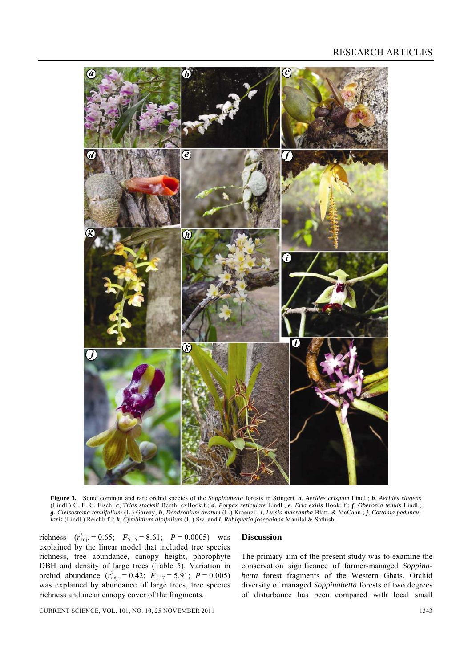## RESEARCH ARTICLES



**Figure 3.** Some common and rare orchid species of the *Soppinabetta* forests in Sringeri. *a*, *Aerides crispum* Lindl.; *b*, *Aerides ringens*  (Lindl.) C. E. C. Fisch; *c*, *Trias stocksii* Benth. exHook.f.; *d*, *Porpax reticulate* Lindl.; *e*, *Eria exilis* Hook. f.; *f*, *Oberonia tenuis* Lindl.; *g*, *Cleisostoma tenuifolium* (L.) Gareay; *h*, *Dendrobium ovatum* (L.) Kraenzl.; *i*, *Luisia macrantha* Blatt. & McCann.; *j*, *Cottonia peduncularis* (Lindl.) Reichb.f.l; *k*, *Cymbidium aloifolium* (L.) Sw. and *l*, *Robiquetia josephiana* Manilal & Sathish.

richness  $(r_{\text{adj}}^2 = 0.65; \quad F_{5,15} = 8.61; \quad P = 0.0005)$  was explained by the linear model that included tree species richness, tree abundance, canopy height, phorophyte DBH and density of large trees (Table 5). Variation in orchid abundance  $(r_{\text{adj}}^2 = 0.42; F_{3,17} = 5.91; P = 0.005)$ was explained by abundance of large trees, tree species richness and mean canopy cover of the fragments.

#### **Discussion**

The primary aim of the present study was to examine the conservation significance of farmer-managed *Soppinabetta* forest fragments of the Western Ghats. Orchid diversity of managed *Soppinabetta* forests of two degrees of disturbance has been compared with local small

CURRENT SCIENCE, VOL. 101, NO. 10, 25 NOVEMBER 2011 1343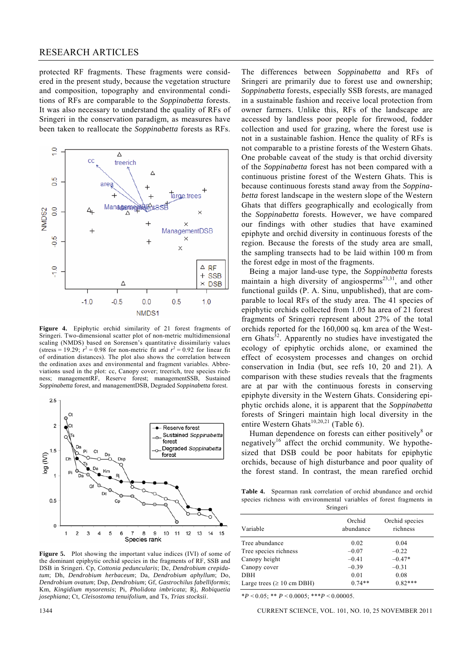#### RESEARCH ARTICLES

protected RF fragments. These fragments were considered in the present study, because the vegetation structure and composition, topography and environmental conditions of RFs are comparable to the *Soppinabetta* forests. It was also necessary to understand the quality of RFs of Sringeri in the conservation paradigm, as measures have been taken to reallocate the *Soppinabetta* forests as RFs.



**Figure 4.** Epiphytic orchid similarity of 21 forest fragments of Sringeri. Two-dimensional scatter plot of non-metric multidimensional scaling (NMDS) based on Sorensen's quantitative dissimilariy values (stress = 19.29;  $r^2 = 0.98$  for non-metric fit and  $r^2 = 0.92$  for linear fit of ordination distances). The plot also shows the correlation between the ordination axes and environmental and fragment variables. Abbreviations used in the plot: cc, Canopy cover; treerich, tree species richness; managementRF, Reserve forest; managementSSB, Sustained *Soppinabetta* forest, and managementDSB, Degraded *Soppinabetta* forest.



Figure 5. Plot showing the important value indices (IVI) of some of the dominant epiphytic orchid species in the fragments of RF, SSB and DSB in Sringeri. Cp, *Cottonia peduncularis*; Dc, *Dendrobium crepidatum*; Dh, *Dendrobium herbaceum*; Da, *Dendrobium aphyllum*; Do, *Dendrobium ovatum*; Dsp, *Dendrobium*; Gf, *Gastrochilus fabelliformis*; Km, *Kingidium mysorensis*; Pi, *Pholidota imbricata*; Rj, *Robiquetia josephiana*; Ct, *Cleisostoma tenuifolium*, and Ts, *Trias stocksii*.

The differences between *Soppinabetta* and RFs of Sringeri are primarily due to forest use and ownership; *Soppinabetta* forests, especially SSB forests, are managed in a sustainable fashion and receive local protection from owner farmers. Unlike this, RFs of the landscape are accessed by landless poor people for firewood, fodder collection and used for grazing, where the forest use is not in a sustainable fashion. Hence the quality of RFs is not comparable to a pristine forests of the Western Ghats. One probable caveat of the study is that orchid diversity of the *Soppinabetta* forest has not been compared with a continuous pristine forest of the Western Ghats. This is because continuous forests stand away from the *Soppinabetta* forest landscape in the western slope of the Western Ghats that differs geographically and ecologically from the *Soppinabetta* forests. However, we have compared our findings with other studies that have examined epiphyte and orchid diversity in continuous forests of the region. Because the forests of the study area are small, the sampling transects had to be laid within 100 m from the forest edge in most of the fragments.

 Being a major land-use type, the *Soppinabetta* forests maintain a high diversity of angiosperms $^{23,31}$ , and other functional guilds (P. A. Sinu, unpublished), that are comparable to local RFs of the study area. The 41 species of epiphytic orchids collected from 1.05 ha area of 21 forest fragments of Sringeri represent about 27% of the total orchids reported for the 160,000 sq. km area of the Western Ghats $32$ . Apparently no studies have investigated the ecology of epiphytic orchids alone, or examined the effect of ecosystem processes and changes on orchid conservation in India (but, see refs 10, 20 and 21). A comparison with these studies reveals that the fragments are at par with the continuous forests in conserving epiphyte diversity in the Western Ghats. Considering epiphytic orchids alone, it is apparent that the *Soppinabetta* forests of Sringeri maintain high local diversity in the entire Western Ghats<sup>10,20,21</sup> (Table 6).

Human dependence on forests can either positively $\delta$  or negatively<sup>16</sup> affect the orchid community. We hypothesized that DSB could be poor habitats for epiphytic orchids, because of high disturbance and poor quality of the forest stand. In contrast, the mean rarefied orchid

**Table 4.** Spearman rank correlation of orchid abundance and orchid species richness with environmental variables of forest fragments in Sringeri

| Variable                        | Orchid<br>abundance | Orchid species<br>richness |
|---------------------------------|---------------------|----------------------------|
| Tree abundance                  | 0.02                | 0.04                       |
| Tree species richness           | $-0.07$             | $-0.22$                    |
| Canopy height                   | $-0.41$             | $-0.47*$                   |
| Canopy cover                    | $-0.39$             | $-0.31$                    |
| <b>DBH</b>                      | 0.01                | 0.08                       |
| Large trees ( $\geq 10$ cm DBH) | $0.74**$            | $0.82***$                  |

\**P* < 0.05; \*\* *P* < 0.0005; \*\*\**P* < 0.00005.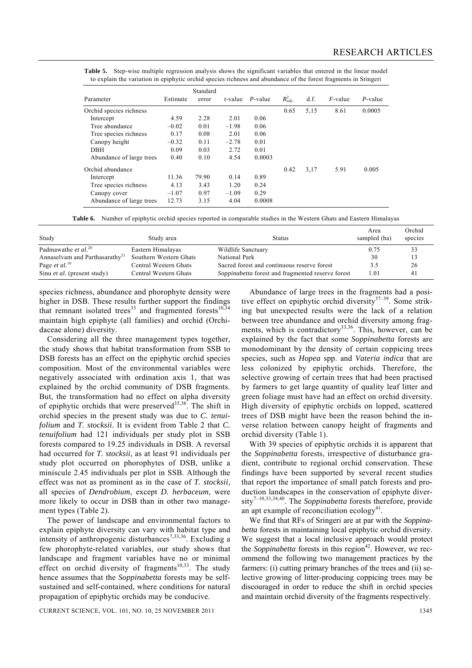| Table 5. Step-wise multiple regression analysis shows the significant variables that entered in the linear model |  |
|------------------------------------------------------------------------------------------------------------------|--|
| to explain the variation in epiphytic orchid species richness and abundance of the forest fragments in Sringeri  |  |

|                          |          | Standard |            |            |                      |      |            |            |
|--------------------------|----------|----------|------------|------------|----------------------|------|------------|------------|
| Parameter                | Estimate | error    | $t$ -value | $P$ -value | $R_{\text{adi}}^2$ . | d.f. | $F$ -value | $P$ -value |
| Orchid species richness  |          |          |            |            | 0.65                 | 5,15 | 8.61       | 0.0005     |
| Intercept                | 4.59     | 2.28     | 2.01       | 0.06       |                      |      |            |            |
| Tree abundance           | $-0.02$  | 0.01     | $-1.98$    | 0.06       |                      |      |            |            |
| Tree species richness    | 0.17     | 0.08     | 2.01       | 0.06       |                      |      |            |            |
| Canopy height            | $-0.32$  | 0.11     | $-2.78$    | 0.01       |                      |      |            |            |
| <b>DBH</b>               | 0.09     | 0.03     | 2.72       | 0.01       |                      |      |            |            |
| Abundance of large trees | 0.40     | 0.10     | 4.54       | 0.0003     |                      |      |            |            |
| Orchid abundance         |          |          |            |            | 0.42                 | 3,17 | 5.91       | 0.005      |
| Intercept                | 11.36    | 79.90    | 0.14       | 0.89       |                      |      |            |            |
| Tree species richness    | 4.13     | 3.43     | 1.20       | 0.24       |                      |      |            |            |
| Canopy cover             | $-1.07$  | 0.97     | $-1.09$    | 0.29       |                      |      |            |            |
| Abundance of large trees | 12.73    | 3.15     | 4.04       | 0.0008     |                      |      |            |            |

**Table 6.** Number of epiphytic orchid species reported in comparable studies in the Western Ghats and Eastern Himalayas

| Study                                      | Study area             | <b>Status</b>                                     | Area<br>sampled (ha) | Orchid<br>species |
|--------------------------------------------|------------------------|---------------------------------------------------|----------------------|-------------------|
| Padmawathe <i>et al</i> . <sup>20</sup>    | Eastern Himalayas      | Wildlife Sanctuary                                | 0.75                 | 33                |
| Annaselvam and Parthasarathy <sup>21</sup> | Southern Western Ghats | National Park                                     | 30                   | 13                |
| Page <i>et al.</i> <sup>10</sup>           | Central Western Ghats  | Sacred forest and continuous reserve forest       | 3.5                  | 26                |
| Sinu <i>et al.</i> (present study)         | Central Western Ghats  | Soppinabetta forest and fragmented reserve forest | 1.01                 | 41                |

species richness, abundance and phorophyte density were higher in DSB. These results further support the findings that remnant isolated trees<sup>33</sup> and fragmented forests<sup>10,34</sup> maintain high epiphyte (all families) and orchid (Orchidaceae alone) diversity.

 Considering all the three management types together, the study shows that habitat transformation from SSB to DSB forests has an effect on the epiphytic orchid species composition. Most of the environmental variables were negatively associated with ordination axis 1, that was explained by the orchid community of DSB fragments. But, the transformation had no effect on alpha diversity of epiphytic orchids that were preserved<sup>35,36</sup>. The shift in orchid species in the present study was due to *C. tenuifolium* and *T. stocksii*. It is evident from Table 2 that *C. tenuifolium* had 121 individuals per study plot in SSB forests compared to 19.25 individuals in DSB. A reversal had occurred for *T. stocksii*, as at least 91 individuals per study plot occurred on phorophytes of DSB, unlike a miniscule 2.45 individuals per plot in SSB. Although the effect was not as prominent as in the case of *T. stocksii*, all species of *Dendrobium*, except *D. herbaceum*, were more likely to occur in DSB than in other two management types (Table 2).

 The power of landscape and environmental factors to explain epiphyte diversity can vary with habitat type and intensity of anthropogenic disturbances<sup>7,33,36</sup>. Excluding a few phorophyte-related variables, our study shows that landscape and fragment variables have no or minimal effect on orchid diversity of fragments<sup>10,33</sup>. The study hence assumes that the *Soppinabetta* forests may be selfsustained and self-contained, where conditions for natural propagation of epiphytic orchids may be conducive.

CURRENT SCIENCE, VOL. 101, NO. 10, 25 NOVEMBER 2011 1345

 Abundance of large trees in the fragments had a positive effect on epiphytic orchid diversity $37-39$ . Some striking but unexpected results were the lack of a relation between tree abundance and orchid diversity among fragments, which is contradictory $33,36$ . This, however, can be explained by the fact that some *Soppinabetta* forests are monodominant by the density of certain coppicing trees species, such as *Hopea* spp. and *Vateria indica* that are less colonized by epiphytic orchids. Therefore, the selective growing of certain trees that had been practised by farmers to get large quantity of quality leaf litter and green foliage must have had an effect on orchid diversity. High diversity of epiphytic orchids on lopped, scattered trees of DSB might have been the reason behind the inverse relation between canopy height of fragments and orchid diversity (Table 1).

 With 39 species of epiphytic orchids it is apparent that the *Soppinabetta* forests, irrespective of disturbance gradient, contribute to regional orchid conservation. These findings have been supported by several recent studies that report the importance of small patch forests and production landscapes in the conservation of epiphyte diversity7–10,33,34,40. The *Soppinabetta* forests therefore, provide an apt example of reconciliation ecology $4<sup>1</sup>$ .

 We find that RFs of Sringeri are at par with the *Soppinabetta* forests in maintaining local epiphytic orchid diversity. We suggest that a local inclusive approach would protect the *Soppinabetta* forests in this region<sup>42</sup>. However, we recommend the following two management practices by the farmers: (i) cutting primary branches of the trees and (ii) selective growing of litter-producing coppicing trees may be discouraged in order to reduce the shift in orchid species and maintain orchid diversity of the fragments respectively.